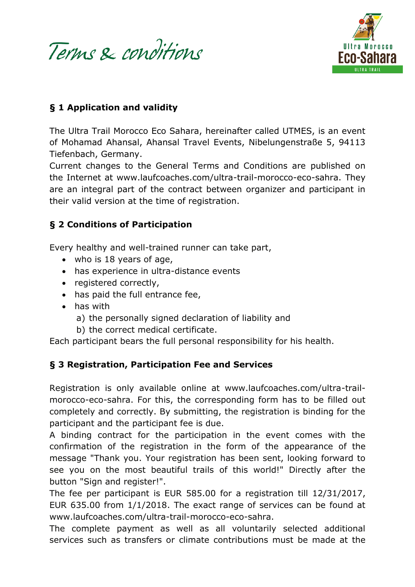Terms & conditions



#### **§ 1 Application and validity**

The Ultra Trail Morocco Eco Sahara, hereinafter called UTMES, is an event of Mohamad Ahansal, Ahansal Travel Events, Nibelungenstraße 5, 94113 Tiefenbach, Germany.

Current changes to the General Terms and Conditions are published on the Internet at www.laufcoaches.com/ultra-trail-morocco-eco-sahra. They are an integral part of the contract between organizer and participant in their valid version at the time of registration.

#### **§ 2 Conditions of Participation**

Every healthy and well-trained runner can take part,

- who is 18 years of age,
- has experience in ultra-distance events
- registered correctly,
- has paid the full entrance fee,
- has with
	- a) the personally signed declaration of liability and
	- b) the correct medical certificate.

Each participant bears the full personal responsibility for his health.

### **§ 3 Registration, Participation Fee and Services**

Registration is only available online at www.laufcoaches.com/ultra-trailmorocco-eco-sahra. For this, the corresponding form has to be filled out completely and correctly. By submitting, the registration is binding for the participant and the participant fee is due.

A binding contract for the participation in the event comes with the confirmation of the registration in the form of the appearance of the message "Thank you. Your registration has been sent, looking forward to see you on the most beautiful trails of this world!" Directly after the button "Sign and register!".

The fee per participant is EUR 585.00 for a registration till 12/31/2017, EUR 635.00 from 1/1/2018. The exact range of services can be found at www.laufcoaches.com/ultra-trail-morocco-eco-sahra.

The complete payment as well as all voluntarily selected additional services such as transfers or climate contributions must be made at the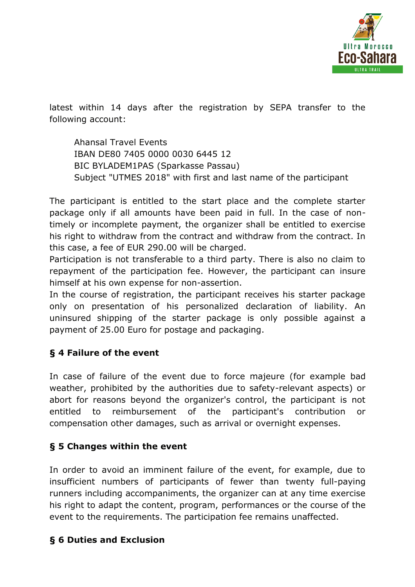

latest within 14 days after the registration by SEPA transfer to the following account:

Ahansal Travel Events IBAN DE80 7405 0000 0030 6445 12 BIC BYLADEM1PAS (Sparkasse Passau) Subject "UTMES 2018" with first and last name of the participant

The participant is entitled to the start place and the complete starter package only if all amounts have been paid in full. In the case of nontimely or incomplete payment, the organizer shall be entitled to exercise his right to withdraw from the contract and withdraw from the contract. In this case, a fee of EUR 290.00 will be charged.

Participation is not transferable to a third party. There is also no claim to repayment of the participation fee. However, the participant can insure himself at his own expense for non-assertion.

In the course of registration, the participant receives his starter package only on presentation of his personalized declaration of liability. An uninsured shipping of the starter package is only possible against a payment of 25.00 Euro for postage and packaging.

### **§ 4 Failure of the event**

In case of failure of the event due to force majeure (for example bad weather, prohibited by the authorities due to safety-relevant aspects) or abort for reasons beyond the organizer's control, the participant is not entitled to reimbursement of the participant's contribution or compensation other damages, such as arrival or overnight expenses.

### **§ 5 Changes within the event**

In order to avoid an imminent failure of the event, for example, due to insufficient numbers of participants of fewer than twenty full-paying runners including accompaniments, the organizer can at any time exercise his right to adapt the content, program, performances or the course of the event to the requirements. The participation fee remains unaffected.

# **§ 6 Duties and Exclusion**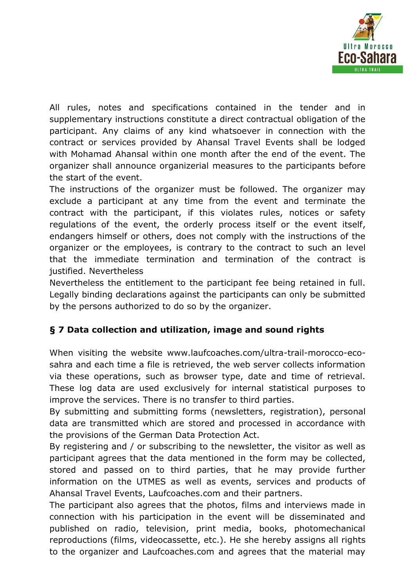

All rules, notes and specifications contained in the tender and in supplementary instructions constitute a direct contractual obligation of the participant. Any claims of any kind whatsoever in connection with the contract or services provided by Ahansal Travel Events shall be lodged with Mohamad Ahansal within one month after the end of the event. The organizer shall announce organizerial measures to the participants before the start of the event.

The instructions of the organizer must be followed. The organizer may exclude a participant at any time from the event and terminate the contract with the participant, if this violates rules, notices or safety regulations of the event, the orderly process itself or the event itself, endangers himself or others, does not comply with the instructions of the organizer or the employees, is contrary to the contract to such an level that the immediate termination and termination of the contract is justified. Nevertheless

Nevertheless the entitlement to the participant fee being retained in full. Legally binding declarations against the participants can only be submitted by the persons authorized to do so by the organizer.

# **§ 7 Data collection and utilization, image and sound rights**

When visiting the website www.laufcoaches.com/ultra-trail-morocco-ecosahra and each time a file is retrieved, the web server collects information via these operations, such as browser type, date and time of retrieval. These log data are used exclusively for internal statistical purposes to improve the services. There is no transfer to third parties.

By submitting and submitting forms (newsletters, registration), personal data are transmitted which are stored and processed in accordance with the provisions of the German Data Protection Act.

By registering and / or subscribing to the newsletter, the visitor as well as participant agrees that the data mentioned in the form may be collected, stored and passed on to third parties, that he may provide further information on the UTMES as well as events, services and products of Ahansal Travel Events, Laufcoaches.com and their partners.

The participant also agrees that the photos, films and interviews made in connection with his participation in the event will be disseminated and published on radio, television, print media, books, photomechanical reproductions (films, videocassette, etc.). He she hereby assigns all rights to the organizer and Laufcoaches.com and agrees that the material may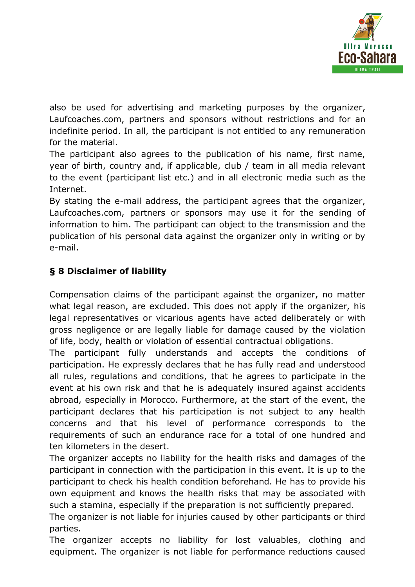

also be used for advertising and marketing purposes by the organizer, Laufcoaches.com, partners and sponsors without restrictions and for an indefinite period. In all, the participant is not entitled to any remuneration for the material.

The participant also agrees to the publication of his name, first name, year of birth, country and, if applicable, club / team in all media relevant to the event (participant list etc.) and in all electronic media such as the Internet.

By stating the e-mail address, the participant agrees that the organizer, Laufcoaches.com, partners or sponsors may use it for the sending of information to him. The participant can object to the transmission and the publication of his personal data against the organizer only in writing or by e-mail.

## **§ 8 Disclaimer of liability**

Compensation claims of the participant against the organizer, no matter what legal reason, are excluded. This does not apply if the organizer, his legal representatives or vicarious agents have acted deliberately or with gross negligence or are legally liable for damage caused by the violation of life, body, health or violation of essential contractual obligations.

The participant fully understands and accepts the conditions of participation. He expressly declares that he has fully read and understood all rules, regulations and conditions, that he agrees to participate in the event at his own risk and that he is adequately insured against accidents abroad, especially in Morocco. Furthermore, at the start of the event, the participant declares that his participation is not subject to any health concerns and that his level of performance corresponds to the requirements of such an endurance race for a total of one hundred and ten kilometers in the desert.

The organizer accepts no liability for the health risks and damages of the participant in connection with the participation in this event. It is up to the participant to check his health condition beforehand. He has to provide his own equipment and knows the health risks that may be associated with such a stamina, especially if the preparation is not sufficiently prepared.

The organizer is not liable for injuries caused by other participants or third parties.

The organizer accepts no liability for lost valuables, clothing and equipment. The organizer is not liable for performance reductions caused